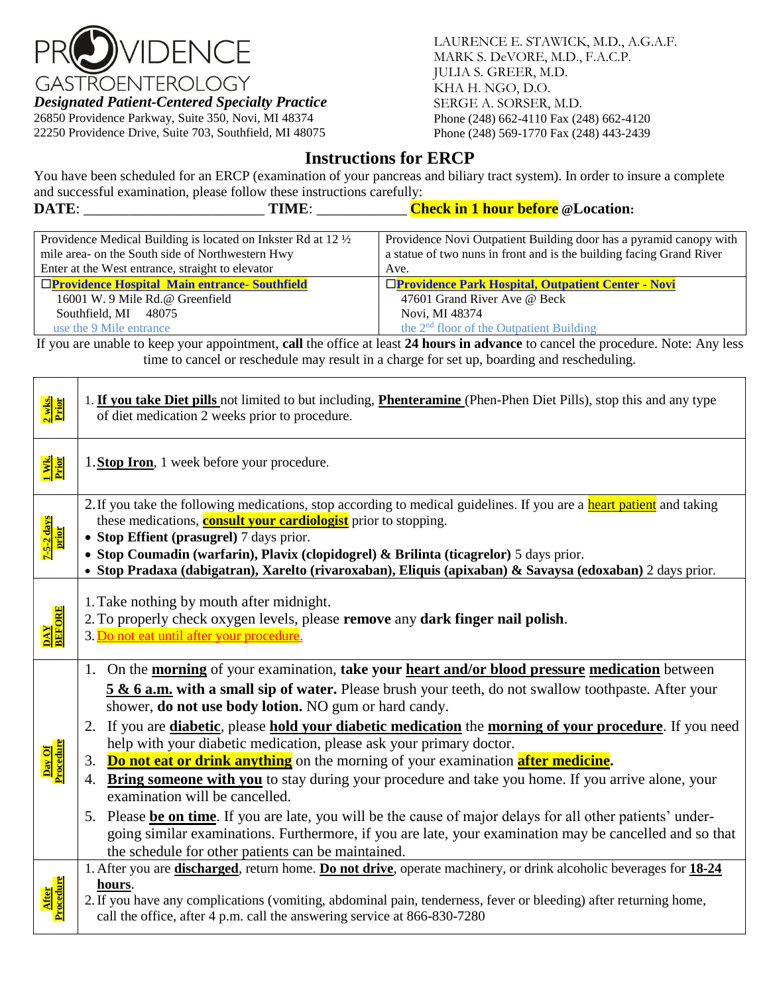

*Designated Patient-Centered Specialty Practice*

26850 Providence Parkway, Suite 350, Novi, MI 48374 22250 Providence Drive, Suite 703, Southfield, MI 48075

LAURENCE E. STAWICK, M.D., A.G.A.F. MARK S. DeVORE, M.D., F.A.C.P. JULIA S. GREER, M.D. KHA H. NGO, D.O. SERGE A. SORSER, M.D. Phone (248) 662-4110 Fax (248) 662-4120 Phone (248) 569-1770 Fax (248) 443-2439

# **Instructions for ERCP**

You have been scheduled for an ERCP (examination of your pancreas and biliary tract system). In order to insure a complete and successful examination, please follow these instructions carefully:

| DATE:<br>TIME:                                                 | <b>Check in 1 hour before @Location:</b>                             |
|----------------------------------------------------------------|----------------------------------------------------------------------|
|                                                                |                                                                      |
| Providence Medical Building is located on Inkster Rd at 12 1/2 | Providence Novi Outpatient Building door has a pyramid canopy with   |
| mile area- on the South side of Northwestern Hwy               | a statue of two nuns in front and is the building facing Grand River |
| Enter at the West entrance, straight to elevator               | Ave.                                                                 |
| <b>OProvidence Hospital Main entrance- Southfield</b>          | □Providence Park Hospital, Outpatient Center - Novi                  |
| 16001 W. 9 Mile Rd.@ Greenfield                                | 47601 Grand River Ave @ Beck                                         |
| Southfield, MI 48075                                           | Novi, MI 48374                                                       |
| use the 9 Mile entrance                                        | the $2nd$ floor of the Outpatient Building                           |

If you are unable to keep your appointment, **call** the office at least **24 hours in advance** to cancel the procedure. Note: Any less time to cancel or reschedule may result in a charge for set up, boarding and rescheduling.

| 2 wks.<br>Prior             | 1. If you take Diet pills not limited to but including, Phenteramine (Phen-Phen Diet Pills), stop this and any type<br>of diet medication 2 weeks prior to procedure.                                                                                                                                                                                                                                                                                                                                                                                                                                                                                                                                                                                                                                                                                                                                                                                                                                                        |
|-----------------------------|------------------------------------------------------------------------------------------------------------------------------------------------------------------------------------------------------------------------------------------------------------------------------------------------------------------------------------------------------------------------------------------------------------------------------------------------------------------------------------------------------------------------------------------------------------------------------------------------------------------------------------------------------------------------------------------------------------------------------------------------------------------------------------------------------------------------------------------------------------------------------------------------------------------------------------------------------------------------------------------------------------------------------|
| <mark>l Wk.</mark><br>Prior | 1. Stop Iron, 1 week before your procedure.                                                                                                                                                                                                                                                                                                                                                                                                                                                                                                                                                                                                                                                                                                                                                                                                                                                                                                                                                                                  |
| 7-5-2 days<br>prior         | 2. If you take the following medications, stop according to medical guidelines. If you are a <b>heart patient</b> and taking<br>these medications, <b>consult your cardiologist</b> prior to stopping.<br>• Stop Effient (prasugrel) 7 days prior.<br>· Stop Coumadin (warfarin), Plavix (clopidogrel) & Brilinta (ticagrelor) 5 days prior.<br>· Stop Pradaxa (dabigatran), Xarelto (rivaroxaban), Eliquis (apixaban) & Savaysa (edoxaban) 2 days prior.                                                                                                                                                                                                                                                                                                                                                                                                                                                                                                                                                                    |
| DAY<br>BEFORE               | 1. Take nothing by mouth after midnight.<br>2. To properly check oxygen levels, please remove any dark finger nail polish.<br>3. Do not eat until after your procedure.                                                                                                                                                                                                                                                                                                                                                                                                                                                                                                                                                                                                                                                                                                                                                                                                                                                      |
| Day Of<br>Procedure         | 1. On the <b>morning</b> of your examination, take your heart and/or blood pressure medication between<br>5 & 6 a.m. with a small sip of water. Please brush your teeth, do not swallow toothpaste. After your<br>shower, do not use body lotion. NO gum or hard candy.<br>2. If you are <i>diabetic</i> , please <b>hold your diabetic medication</b> the <b>morning of your procedure</b> . If you need<br>help with your diabetic medication, please ask your primary doctor.<br><b>Do not eat or drink anything</b> on the morning of your examination <b>after medicine</b> .<br>3.<br><b>Bring someone with you</b> to stay during your procedure and take you home. If you arrive alone, your<br>4.<br>examination will be cancelled.<br>5. Please be on time. If you are late, you will be the cause of major delays for all other patients' under-<br>going similar examinations. Furthermore, if you are late, your examination may be cancelled and so that<br>the schedule for other patients can be maintained. |
| After<br>Procedure          | 1. After you are <b>discharged</b> , return home. Do not drive, operate machinery, or drink alcoholic beverages for 18-24<br>hours.<br>2. If you have any complications (vomiting, abdominal pain, tenderness, fever or bleeding) after returning home,<br>call the office, after 4 p.m. call the answering service at 866-830-7280                                                                                                                                                                                                                                                                                                                                                                                                                                                                                                                                                                                                                                                                                          |